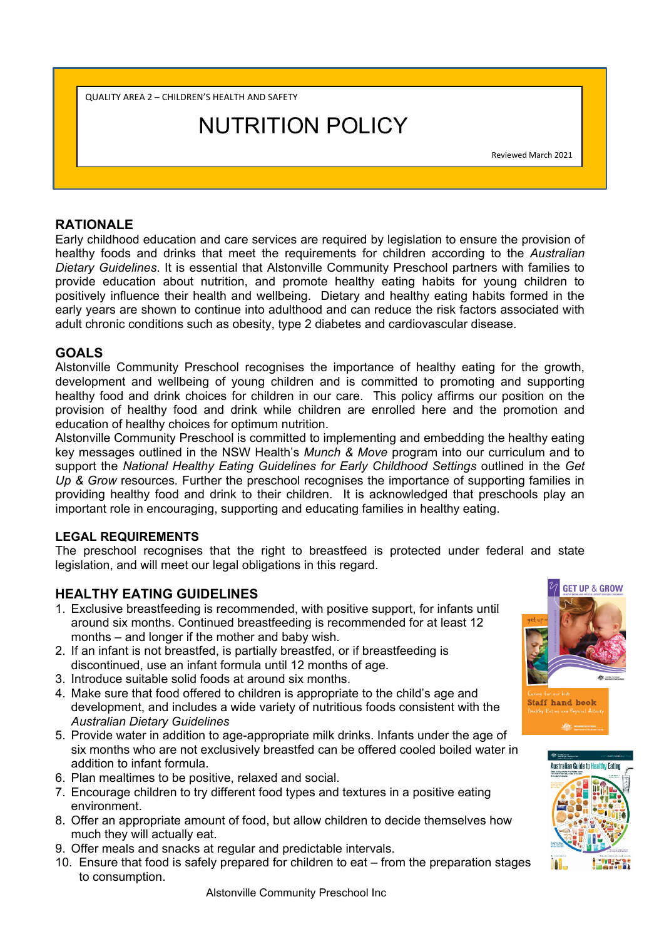QUALITY AREA 2 – CHILDREN'S HEALTH AND SAFETY

# NUTRITION POLICY

Reviewed March 2021

# **RATIONALE**

Early childhood education and care services are required by legislation to ensure the provision of healthy foods and drinks that meet the requirements for children according to the *Australian Dietary Guidelines*. It is essential that Alstonville Community Preschool partners with families to provide education about nutrition, and promote healthy eating habits for young children to positively influence their health and wellbeing. Dietary and healthy eating habits formed in the early years are shown to continue into adulthood and can reduce the risk factors associated with adult chronic conditions such as obesity, type 2 diabetes and cardiovascular disease.

# **GOALS**

Alstonville Community Preschool recognises the importance of healthy eating for the growth, development and wellbeing of young children and is committed to promoting and supporting healthy food and drink choices for children in our care. This policy affirms our position on the provision of healthy food and drink while children are enrolled here and the promotion and education of healthy choices for optimum nutrition.

Alstonville Community Preschool is committed to implementing and embedding the healthy eating key messages outlined in the NSW Health's *Munch & Move* program into our curriculum and to support the *National Healthy Eating Guidelines for Early Childhood Settings* outlined in the *Get Up & Grow* resources*.* Further the preschool recognises the importance of supporting families in providing healthy food and drink to their children. It is acknowledged that preschools play an important role in encouraging, supporting and educating families in healthy eating.

### **LEGAL REQUIREMENTS**

The preschool recognises that the right to breastfeed is protected under federal and state legislation, and will meet our legal obligations in this regard.

# **HEALTHY EATING GUIDELINES**

- 1. Exclusive breastfeeding is recommended, with positive support, for infants until around six months. Continued breastfeeding is recommended for at least 12 months – and longer if the mother and baby wish.
- 2. If an infant is not breastfed, is partially breastfed, or if breastfeeding is discontinued, use an infant formula until 12 months of age.
- 3. Introduce suitable solid foods at around six months.
- 4. Make sure that food offered to children is appropriate to the child's age and development, and includes a wide variety of nutritious foods consistent with the *Australian Dietary Guidelines*
- 5. Provide water in addition to age-appropriate milk drinks. Infants under the age of six months who are not exclusively breastfed can be offered cooled boiled water in addition to infant formula.
- 6. Plan mealtimes to be positive, relaxed and social.
- 7. Encourage children to try different food types and textures in a positive eating environment.
- 8. Offer an appropriate amount of food, but allow children to decide themselves how much they will actually eat.
- 9. Offer meals and snacks at regular and predictable intervals.
- 10. Ensure that food is safely prepared for children to eat from the preparation stages to consumption.



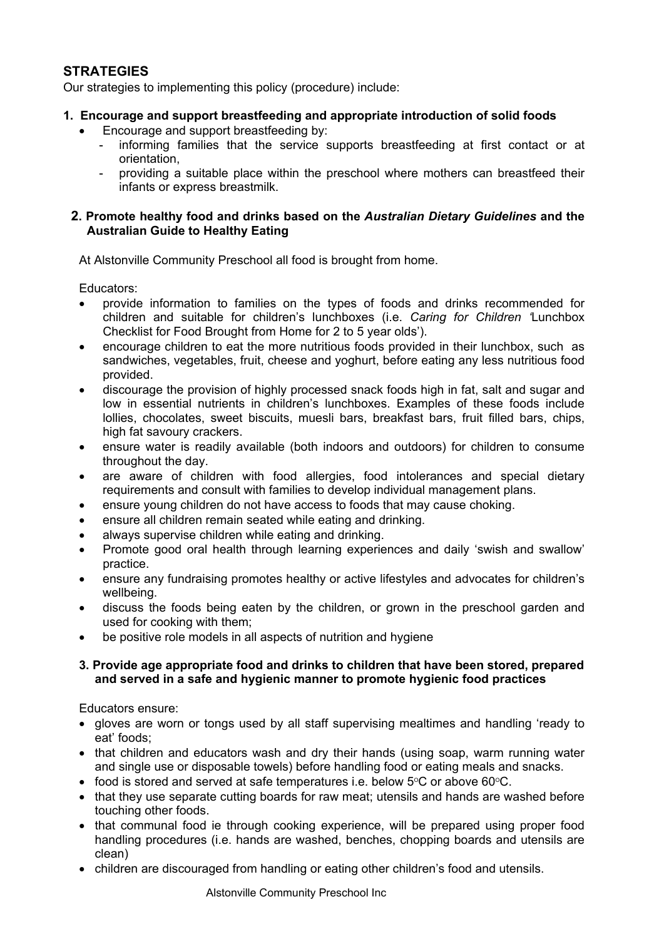# **STRATEGIES**

Our strategies to implementing this policy (procedure) include:

- **1. Encourage and support breastfeeding and appropriate introduction of solid foods** 
	- Encourage and support breastfeeding by:
		- informing families that the service supports breastfeeding at first contact or at orientation,
		- providing a suitable place within the preschool where mothers can breastfeed their infants or express breastmilk.

#### **2. Promote healthy food and drinks based on the** *Australian Dietary Guidelines* **and the Australian Guide to Healthy Eating**

At Alstonville Community Preschool all food is brought from home.

Educators:

- provide information to families on the types of foods and drinks recommended for children and suitable for children's lunchboxes (i.e. *Caring for Children '*Lunchbox Checklist for Food Brought from Home for 2 to 5 year olds').
- encourage children to eat the more nutritious foods provided in their lunchbox, such as sandwiches, vegetables, fruit, cheese and yoghurt, before eating any less nutritious food provided.
- discourage the provision of highly processed snack foods high in fat, salt and sugar and low in essential nutrients in children's lunchboxes. Examples of these foods include lollies, chocolates, sweet biscuits, muesli bars, breakfast bars, fruit filled bars, chips, high fat savoury crackers.
- ensure water is readily available (both indoors and outdoors) for children to consume throughout the day.
- are aware of children with food allergies, food intolerances and special dietary requirements and consult with families to develop individual management plans.
- ensure young children do not have access to foods that may cause choking.
- ensure all children remain seated while eating and drinking.
- always supervise children while eating and drinking.
- Promote good oral health through learning experiences and daily 'swish and swallow' practice.
- ensure any fundraising promotes healthy or active lifestyles and advocates for children's wellbeing.
- discuss the foods being eaten by the children, or grown in the preschool garden and used for cooking with them;
- be positive role models in all aspects of nutrition and hygiene

### **3. Provide age appropriate food and drinks to children that have been stored, prepared and served in a safe and hygienic manner to promote hygienic food practices**

Educators ensure:

- gloves are worn or tongs used by all staff supervising mealtimes and handling 'ready to eat' foods;
- that children and educators wash and dry their hands (using soap, warm running water and single use or disposable towels) before handling food or eating meals and snacks.
- food is stored and served at safe temperatures i.e. below  $5^{\circ}$ C or above 60 $^{\circ}$ C.
- that they use separate cutting boards for raw meat; utensils and hands are washed before touching other foods.
- that communal food ie through cooking experience, will be prepared using proper food handling procedures (i.e. hands are washed, benches, chopping boards and utensils are clean)
- children are discouraged from handling or eating other children's food and utensils.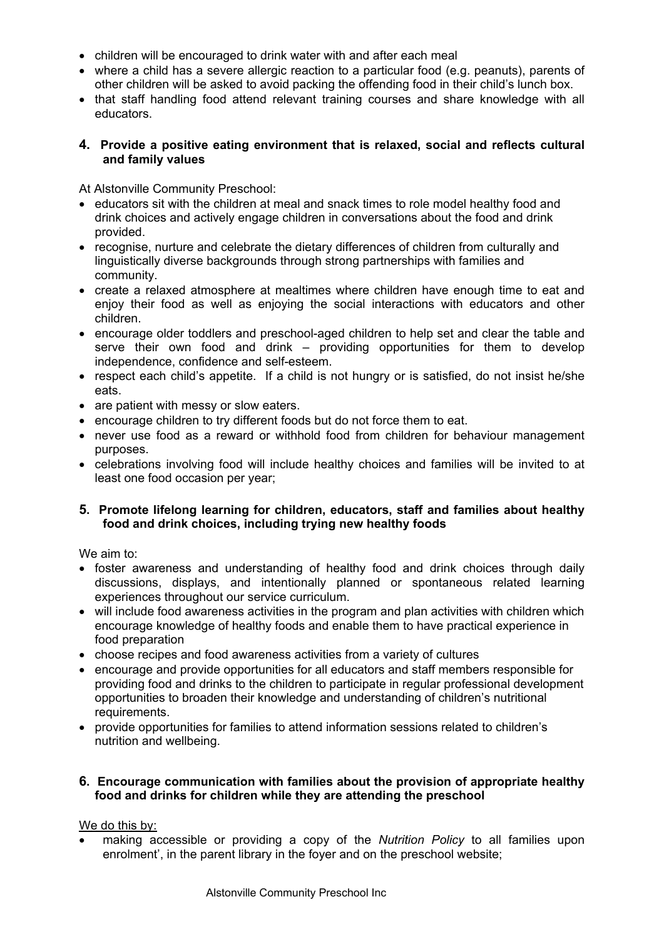- children will be encouraged to drink water with and after each meal
- where a child has a severe allergic reaction to a particular food (e.g. peanuts), parents of other children will be asked to avoid packing the offending food in their child's lunch box.
- that staff handling food attend relevant training courses and share knowledge with all educators.

### **4. Provide a positive eating environment that is relaxed, social and reflects cultural and family values**

At Alstonville Community Preschool:

- educators sit with the children at meal and snack times to role model healthy food and drink choices and actively engage children in conversations about the food and drink provided.
- recognise, nurture and celebrate the dietary differences of children from culturally and linguistically diverse backgrounds through strong partnerships with families and community.
- create a relaxed atmosphere at mealtimes where children have enough time to eat and enjoy their food as well as enjoying the social interactions with educators and other children.
- encourage older toddlers and preschool-aged children to help set and clear the table and serve their own food and drink – providing opportunities for them to develop independence, confidence and self-esteem.
- respect each child's appetite. If a child is not hungry or is satisfied, do not insist he/she eats.
- are patient with messy or slow eaters.
- encourage children to try different foods but do not force them to eat.
- never use food as a reward or withhold food from children for behaviour management purposes.
- celebrations involving food will include healthy choices and families will be invited to at least one food occasion per year;

### **5. Promote lifelong learning for children, educators, staff and families about healthy food and drink choices, including trying new healthy foods**

We aim to:

- foster awareness and understanding of healthy food and drink choices through daily discussions, displays, and intentionally planned or spontaneous related learning experiences throughout our service curriculum.
- will include food awareness activities in the program and plan activities with children which encourage knowledge of healthy foods and enable them to have practical experience in food preparation
- choose recipes and food awareness activities from a variety of cultures
- encourage and provide opportunities for all educators and staff members responsible for providing food and drinks to the children to participate in regular professional development opportunities to broaden their knowledge and understanding of children's nutritional requirements.
- provide opportunities for families to attend information sessions related to children's nutrition and wellbeing.

#### **6. Encourage communication with families about the provision of appropriate healthy food and drinks for children while they are attending the preschool**

### We do this by:

 making accessible or providing a copy of the *Nutrition Policy* to all families upon enrolment', in the parent library in the foyer and on the preschool website;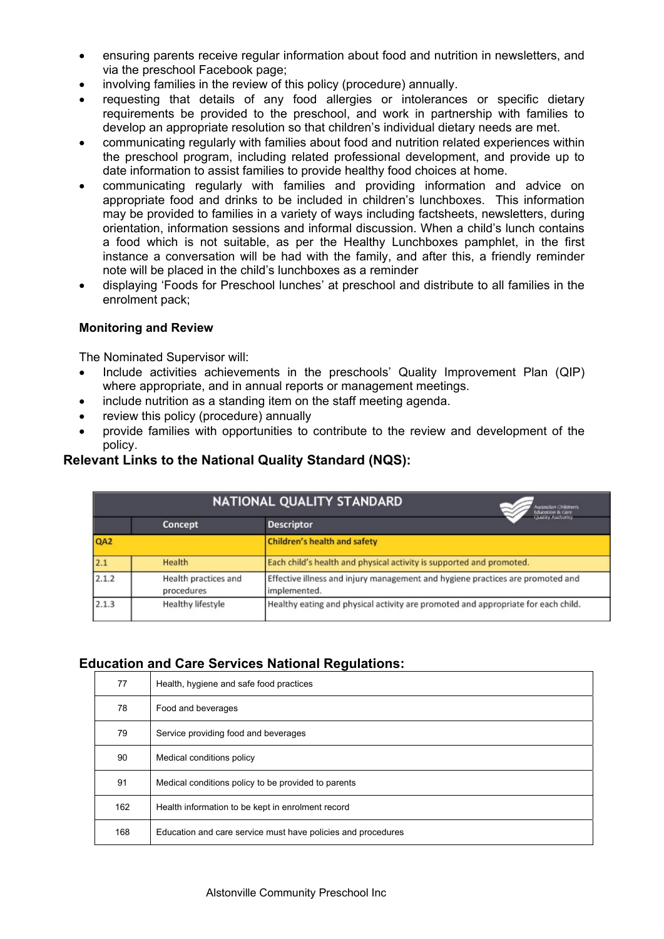- ensuring parents receive regular information about food and nutrition in newsletters, and via the preschool Facebook page;
- involving families in the review of this policy (procedure) annually.
- requesting that details of any food allergies or intolerances or specific dietary requirements be provided to the preschool, and work in partnership with families to develop an appropriate resolution so that children's individual dietary needs are met.
- communicating regularly with families about food and nutrition related experiences within the preschool program, including related professional development, and provide up to date information to assist families to provide healthy food choices at home.
- communicating regularly with families and providing information and advice on appropriate food and drinks to be included in children's lunchboxes. This information may be provided to families in a variety of ways including factsheets, newsletters, during orientation, information sessions and informal discussion. When a child's lunch contains a food which is not suitable, as per the Healthy Lunchboxes pamphlet, in the first instance a conversation will be had with the family, and after this, a friendly reminder note will be placed in the child's lunchboxes as a reminder
- displaying 'Foods for Preschool lunches' at preschool and distribute to all families in the enrolment pack;

### **Monitoring and Review**

The Nominated Supervisor will:

- Include activities achievements in the preschools' Quality Improvement Plan (QIP) where appropriate, and in annual reports or management meetings.
- include nutrition as a standing item on the staff meeting agenda.
- review this policy (procedure) annually
- provide families with opportunities to contribute to the review and development of the policy.

## **Relevant Links to the National Quality Standard (NQS):**

| NATIONAL QUALITY STANDARD<br>Australian Children's<br><b>Education &amp; Care</b> |                                    |                                                                                                |
|-----------------------------------------------------------------------------------|------------------------------------|------------------------------------------------------------------------------------------------|
|                                                                                   | Concept                            | <b>Quality Authority</b><br><b>Descriptor</b>                                                  |
| QA <sub>2</sub>                                                                   |                                    | <b>Children's health and safety</b>                                                            |
| 2.1                                                                               | Health                             | Each child's health and physical activity is supported and promoted.                           |
| 2.1.2                                                                             | Health practices and<br>procedures | Effective illness and injury management and hygiene practices are promoted and<br>implemented. |
| 2.1.3                                                                             | Healthy lifestyle                  | Healthy eating and physical activity are promoted and appropriate for each child.              |

# **Education and Care Services National Regulations:**

| 77  | Health, hygiene and safe food practices                      |  |
|-----|--------------------------------------------------------------|--|
| 78  | Food and beverages                                           |  |
| 79  | Service providing food and beverages                         |  |
| 90  | Medical conditions policy                                    |  |
| 91  | Medical conditions policy to be provided to parents          |  |
| 162 | Health information to be kept in enrolment record            |  |
| 168 | Education and care service must have policies and procedures |  |